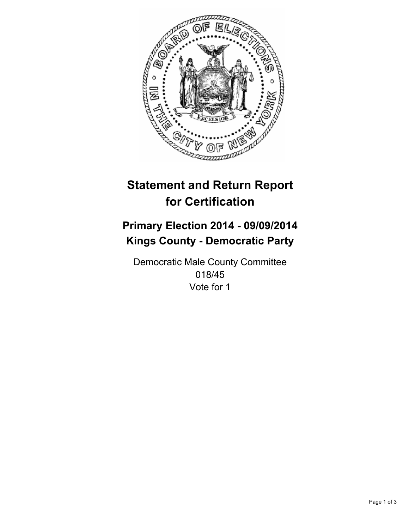

# **Statement and Return Report for Certification**

## **Primary Election 2014 - 09/09/2014 Kings County - Democratic Party**

Democratic Male County Committee 018/45 Vote for 1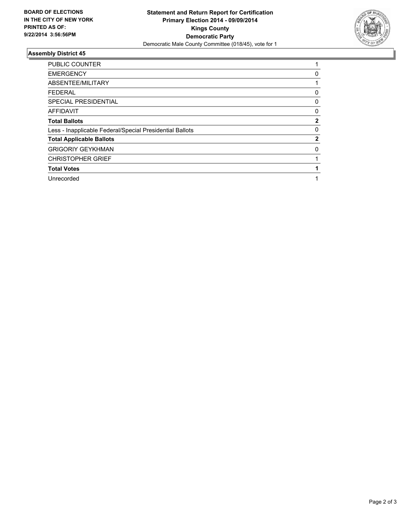

### **Assembly District 45**

| <b>PUBLIC COUNTER</b>                                    |              |
|----------------------------------------------------------|--------------|
| <b>EMERGENCY</b>                                         | 0            |
| ABSENTEE/MILITARY                                        |              |
| <b>FEDERAL</b>                                           | 0            |
| <b>SPECIAL PRESIDENTIAL</b>                              | 0            |
| <b>AFFIDAVIT</b>                                         | 0            |
| <b>Total Ballots</b>                                     | $\mathbf{2}$ |
| Less - Inapplicable Federal/Special Presidential Ballots | 0            |
| <b>Total Applicable Ballots</b>                          | $\mathbf{2}$ |
| <b>GRIGORIY GEYKHMAN</b>                                 | 0            |
| <b>CHRISTOPHER GRIEF</b>                                 |              |
| <b>Total Votes</b>                                       |              |
| Unrecorded                                               |              |